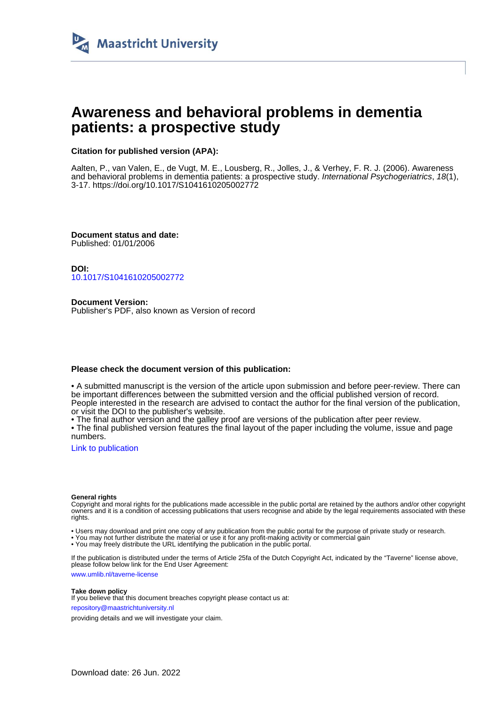

# **Awareness and behavioral problems in dementia patients: a prospective study**

### **Citation for published version (APA):**

Aalten, P., van Valen, E., de Vugt, M. E., Lousberg, R., Jolles, J., & Verhey, F. R. J. (2006). Awareness and behavioral problems in dementia patients: a prospective study. International Psychogeriatrics, 18(1), 3-17. <https://doi.org/10.1017/S1041610205002772>

**Document status and date:** Published: 01/01/2006

**DOI:** [10.1017/S1041610205002772](https://doi.org/10.1017/S1041610205002772)

**Document Version:** Publisher's PDF, also known as Version of record

### **Please check the document version of this publication:**

• A submitted manuscript is the version of the article upon submission and before peer-review. There can be important differences between the submitted version and the official published version of record. People interested in the research are advised to contact the author for the final version of the publication, or visit the DOI to the publisher's website.

• The final author version and the galley proof are versions of the publication after peer review.

• The final published version features the final layout of the paper including the volume, issue and page numbers.

[Link to publication](https://cris.maastrichtuniversity.nl/en/publications/67f4dea1-a897-44be-a8fe-627f61d1bfd9)

### **General rights**

Copyright and moral rights for the publications made accessible in the public portal are retained by the authors and/or other copyright owners and it is a condition of accessing publications that users recognise and abide by the legal requirements associated with these rights.

• Users may download and print one copy of any publication from the public portal for the purpose of private study or research.

• You may not further distribute the material or use it for any profit-making activity or commercial gain

• You may freely distribute the URL identifying the publication in the public portal.

If the publication is distributed under the terms of Article 25fa of the Dutch Copyright Act, indicated by the "Taverne" license above, please follow below link for the End User Agreement:

www.umlib.nl/taverne-license

### **Take down policy**

If you believe that this document breaches copyright please contact us at: repository@maastrichtuniversity.nl

providing details and we will investigate your claim.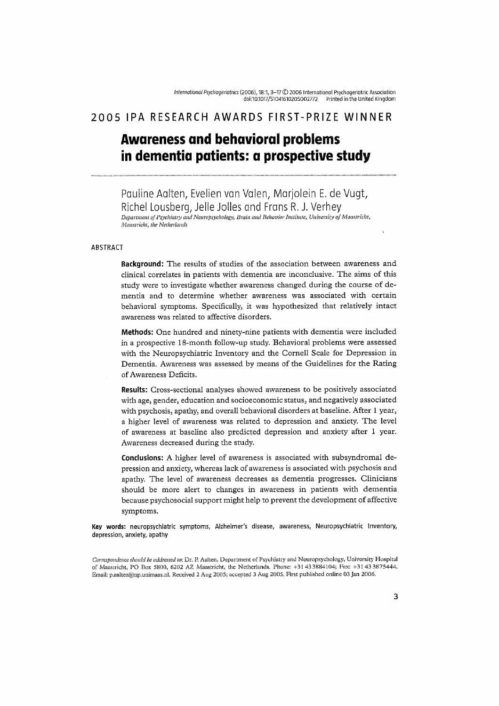International Psychogeriatrics (2006), 18:1, 3-17 C 2006 International Psychogeriatric Association doi:10.1017/S1041610205002772 Printed in the United Kingdom

## 2005 IPA RESEARCH AWARDS FIRST-PRIZE WINNER

# **Awareness and behavioral problems** in dementia patients: a prospective study

Pauline Aalten, Evelien van Valen, Marjolein E. de Vugt, Richel Lousberg, Jelle Jolles and Frans R. J. Verhey Department of Psychiatry and Neuropsychology, Brain and Behavior Institute, University of Maastricht, Maastricht, the Netherlands

### **ABSTRACT**

**Background:** The results of studies of the association between awareness and clinical correlates in patients with dementia are inconclusive. The aims of this study were to investigate whether awareness changed during the course of dementia and to determine whether awareness was associated with certain behavioral symptoms. Specifically, it was hypothesized that relatively intact awareness was related to affective disorders.

Methods: One hundred and ninety-nine patients with dementia were included in a prospective 18-month follow-up study. Behavioral problems were assessed with the Neuropsychiatric Inventory and the Cornell Scale for Depression in Dementia. Awareness was assessed by means of the Guidelines for the Rating of Awareness Deficits.

Results: Cross-sectional analyses showed awareness to be positively associated with age, gender, education and socioeconomic status, and negatively associated with psychosis, apathy, and overall behavioral disorders at baseline. After 1 year, a higher level of awareness was related to depression and anxiety. The level of awareness at baseline also predicted depression and anxiety after 1 year. Awareness decreased during the study.

Conclusions: A higher level of awareness is associated with subsyndromal depression and anxiety, whereas lack of awareness is associated with psychosis and apathy. The level of awareness decreases as dementia progresses. Clinicians should be more alert to changes in awareness in patients with dementia because psychosocial support might help to prevent the development of affective symptoms.

Key words: neuropsychiatric symptoms, Alzheimer's disease, awareness, Neuropsychiatric Inventory, depression, anxiety, apathy

Correspondence should be addressed to: Dr. P. Aalten, Department of Psychiatry and Neuropsychology, University Hospital of Maastricht, PO Box 5800, 6202 AZ Maastricht, the Netherlands. Phone: +31 43 3884104; Fax: +31 43 3875444. Email: p.aalten@np.unimaas.nl. Received 2 Aug 2005; accepted 3 Aug 2005. First published online 03 Jan 2006.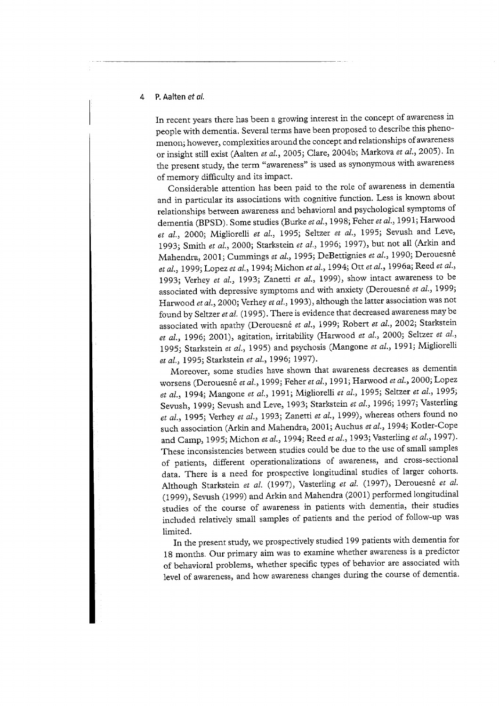In recent years there has been a growing interest in the concept of awareness in people with dementia. Several terms have been proposed to describe this phenomenon; however, complexities around the concept and relationships of awareness or insight still exist (Aalten et al., 2005; Clare, 2004b; Markova et al., 2005). In the present study, the term "awareness" is used as synonymous with awareness of memory difficulty and its impact.

Considerable attention has been paid to the role of awareness in dementia and in particular its associations with cognitive function. Less is known about relationships between awareness and behavioral and psychological symptoms of dementia (BPSD). Some studies (Burke et al., 1998; Feher et al., 1991; Harwood et al., 2000; Migliorelli et al., 1995; Seltzer et al., 1995; Sevush and Leve, 1993; Smith et al., 2000; Starkstein et al., 1996; 1997), but not all (Arkin and Mahendra, 2001; Cummings et al., 1995; DeBettignies et al., 1990; Derouesné et al., 1999; Lopez et al., 1994; Michon et al., 1994; Ott et al., 1996a; Reed et al., 1993; Verhey et al., 1993; Zanetti et al., 1999), show intact awareness to be associated with depressive symptoms and with anxiety (Derouesné et al., 1999; Harwood et al., 2000; Verhey et al., 1993), although the latter association was not found by Seltzer et al. (1995). There is evidence that decreased awareness may be associated with apathy (Derouesné et al., 1999; Robert et al., 2002; Starkstein et al., 1996; 2001), agitation, irritability (Harwood et al., 2000; Seltzer et al., 1995; Starkstein et al., 1995) and psychosis (Mangone et al., 1991; Migliorelli et al., 1995; Starkstein et al., 1996; 1997).

Moreover, some studies have shown that awareness decreases as dementia worsens (Derouesné et al., 1999; Feher et al., 1991; Harwood et al., 2000; Lopez et al., 1994; Mangone et al., 1991; Migliorelli et al., 1995; Seltzer et al., 1995; Sevush, 1999; Sevush and Leve, 1993; Starkstein et al., 1996; 1997; Vasterling et al., 1995; Verhey et al., 1993; Zanetti et al., 1999), whereas others found no such association (Arkin and Mahendra, 2001; Auchus et al., 1994; Kotler-Cope and Camp, 1995; Michon et al., 1994; Reed et al., 1993; Vasterling et al., 1997). These inconsistencies between studies could be due to the use of small samples of patients, different operationalizations of awareness, and cross-sectional data. There is a need for prospective longitudinal studies of larger cohorts. Although Starkstein et al. (1997), Vasterling et al. (1997), Derouesné et al. (1999), Sevush (1999) and Arkin and Mahendra (2001) performed longitudinal studies of the course of awareness in patients with dementia, their studies included relatively small samples of patients and the period of follow-up was limited.

In the present study, we prospectively studied 199 patients with dementia for 18 months. Our primary aim was to examine whether awareness is a predictor of behavioral problems, whether specific types of behavior are associated with level of awareness, and how awareness changes during the course of dementia.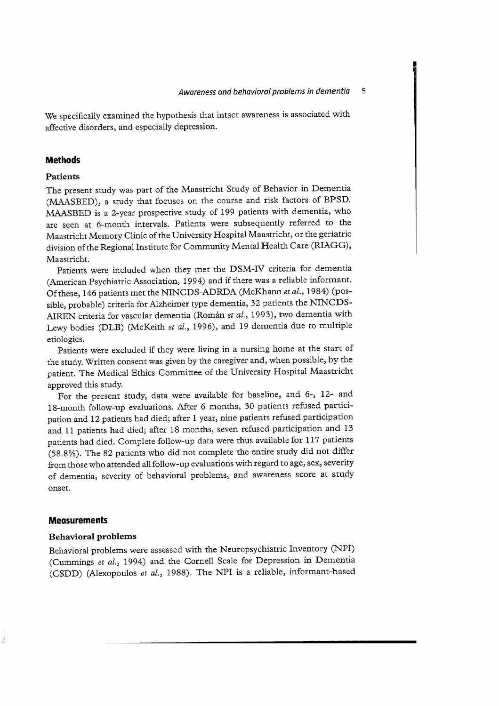We specifically examined the hypothesis that intact awareness is associated with affective disorders, and especially depression.

### **Methods**

### **Patients**

The present study was part of the Maastricht Study of Behavior in Dementia (MAASBED), a study that focuses on the course and risk factors of BPSD. MAASBED is a 2-year prospective study of 199 patients with dementia, who are seen at 6-month intervals. Patients were subsequently referred to the Maastricht Memory Clinic of the University Hospital Maastricht, or the geriatric division of the Regional Institute for Community Mental Health Care (RIAGG), Maastricht.

Patients were included when they met the DSM-IV criteria for dementia (American Psychiatric Association, 1994) and if there was a reliable informant. Of these, 146 patients met the NINCDS-ADRDA (McKhann et al., 1984) (possible, probable) criteria for Alzheimer type dementia, 32 patients the NINCDS-AIREN criteria for vascular dementia (Román et al., 1993), two dementia with Lewy bodies (DLB) (McKeith et al., 1996), and 19 dementia due to multiple etiologies.

Patients were excluded if they were living in a nursing home at the start of the study. Written consent was given by the caregiver and, when possible, by the patient. The Medical Ethics Committee of the University Hospital Maastricht approved this study.

For the present study, data were available for baseline, and 6-, 12- and 18-month follow-up evaluations. After 6 months, 30 patients refused participation and 12 patients had died; after 1 year, nine patients refused participation and 11 patients had died; after 18 months, seven refused participation and 13 patients had died. Complete follow-up data were thus available for 117 patients (58.8%). The 82 patients who did not complete the entire study did not differ from those who attended all follow-up evaluations with regard to age, sex, severity of dementia, severity of behavioral problems, and awareness score at study onset.

### **Measurements**

### **Behavioral problems**

Behavioral problems were assessed with the Neuropsychiatric Inventory (NPI) (Cummings et al., 1994) and the Cornell Scale for Depression in Dementia (CSDD) (Alexopoulos et al., 1988). The NPI is a reliable, informant-based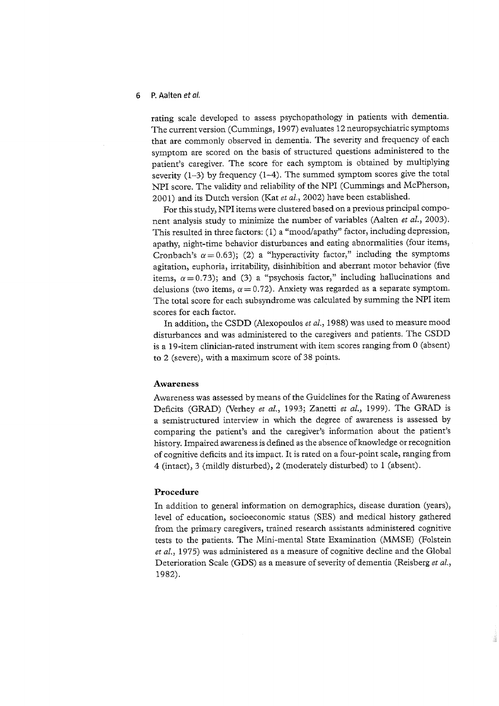rating scale developed to assess psychopathology in patients with dementia. The current version (Cummings, 1997) evaluates 12 neuropsychiatric symptoms that are commonly observed in dementia. The severity and frequency of each symptom are scored on the basis of structured questions administered to the patient's caregiver. The score for each symptom is obtained by multiplying severity  $(1-3)$  by frequency  $(1-4)$ . The summed symptom scores give the total NPI score. The validity and reliability of the NPI (Cummings and McPherson, 2001) and its Dutch version (Kat et al., 2002) have been established.

For this study, NPI items were clustered based on a previous principal component analysis study to minimize the number of variables (Aalten et al., 2003). This resulted in three factors: (1) a "mood/apathy" factor, including depression, apathy, night-time behavior disturbances and eating abnormalities (four items, Cronbach's  $\alpha = 0.63$ ); (2) a "hyperactivity factor," including the symptoms agitation, euphoria, irritability, disinhibition and aberrant motor behavior (five items,  $\alpha = 0.73$ ); and (3) a "psychosis factor," including hallucinations and delusions (two items,  $\alpha = 0.72$ ). Anxiety was regarded as a separate symptom. The total score for each subsyndrome was calculated by summing the NPI item scores for each factor.

In addition, the CSDD (Alexopoulos et al., 1988) was used to measure mood disturbances and was administered to the caregivers and patients. The CSDD is a 19-item clinician-rated instrument with item scores ranging from 0 (absent) to 2 (severe), with a maximum score of 38 points.

### **Awareness**

Awareness was assessed by means of the Guidelines for the Rating of Awareness Deficits (GRAD) (Verhey et al., 1993; Zanetti et al., 1999). The GRAD is a semistructured interview in which the degree of awareness is assessed by comparing the patient's and the caregiver's information about the patient's history. Impaired awareness is defined as the absence of knowledge or recognition of cognitive deficits and its impact. It is rated on a four-point scale, ranging from 4 (intact), 3 (mildly disturbed), 2 (moderately disturbed) to 1 (absent).

### Procedure

In addition to general information on demographics, disease duration (years), level of education, socioeconomic status (SES) and medical history gathered from the primary caregivers, trained research assistants administered cognitive tests to the patients. The Mini-mental State Examination (MMSE) (Folstein et al., 1975) was administered as a measure of cognitive decline and the Global Deterioration Scale (GDS) as a measure of severity of dementia (Reisberg et al., 1982).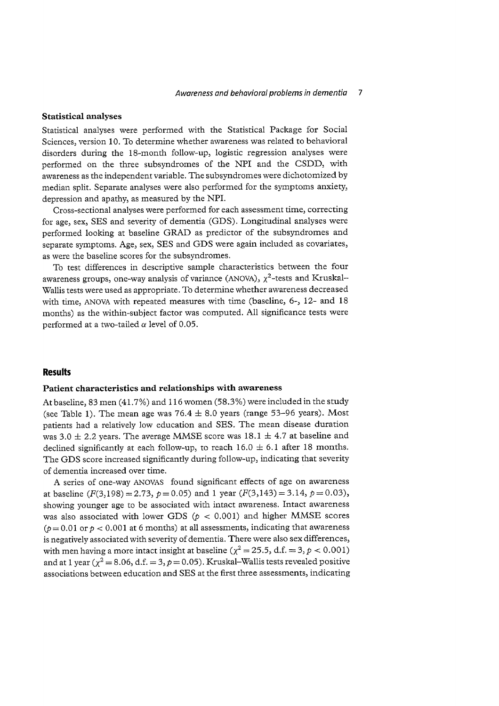### **Statistical analyses**

Statistical analyses were performed with the Statistical Package for Social Sciences, version 10. To determine whether awareness was related to behavioral disorders during the 18-month follow-up, logistic regression analyses were performed on the three subsyndromes of the NPI and the CSDD, with awareness as the independent variable. The subsyndromes were dichotomized by median split. Separate analyses were also performed for the symptoms anxiety, depression and apathy, as measured by the NPI.

Cross-sectional analyses were performed for each assessment time, correcting for age, sex, SES and severity of dementia (GDS). Longitudinal analyses were performed looking at baseline GRAD as predictor of the subsyndromes and separate symptoms. Age, sex, SES and GDS were again included as covariates, as were the baseline scores for the subsyndromes.

To test differences in descriptive sample characteristics between the four awareness groups, one-way analysis of variance (ANOVA),  $\chi^2$ -tests and Kruskal-Wallis tests were used as appropriate. To determine whether awareness decreased with time, ANOVA with repeated measures with time (baseline, 6-, 12- and 18 months) as the within-subject factor was computed. All significance tests were performed at a two-tailed  $\alpha$  level of 0.05.

### **Results**

### Patient characteristics and relationships with awareness

At baseline, 83 men (41.7%) and 116 women (58.3%) were included in the study (see Table 1). The mean age was  $76.4 \pm 8.0$  years (range 53–96 years). Most patients had a relatively low education and SES. The mean disease duration was 3.0  $\pm$  2.2 years. The average MMSE score was 18.1  $\pm$  4.7 at baseline and declined significantly at each follow-up, to reach  $16.0 \pm 6.1$  after 18 months. The GDS score increased significantly during follow-up, indicating that severity of dementia increased over time.

A series of one-way ANOVAS found significant effects of age on awareness at baseline  $(F(3,198) = 2.73, p = 0.05)$  and 1 year  $(F(3,143) = 3.14, p = 0.03)$ , showing younger age to be associated with intact awareness. Intact awareness was also associated with lower GDS ( $p < 0.001$ ) and higher MMSE scores  $(p=0.01$  or  $p < 0.001$  at 6 months) at all assessments, indicating that awareness is negatively associated with severity of dementia. There were also sex differences, with men having a more intact insight at baseline ( $\chi^2$  = 25.5, d.f. = 3, p < 0.001) and at 1 year ( $\chi^2$  = 8.06, d.f. = 3, p = 0.05). Kruskal–Wallis tests revealed positive associations between education and SES at the first three assessments, indicating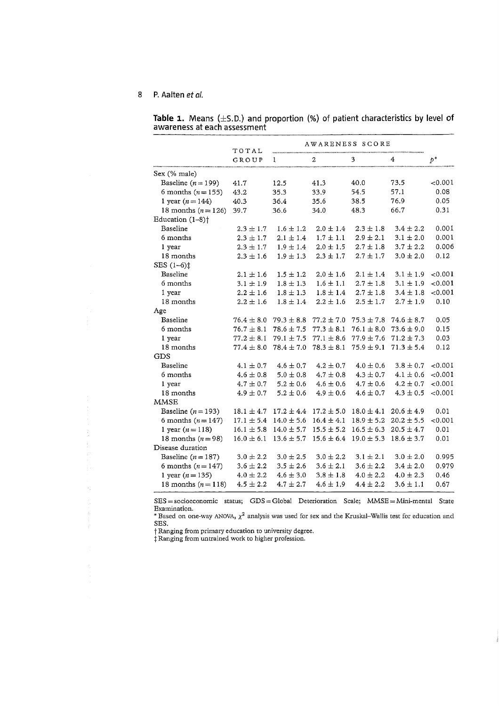#### $\bf 8$ P. Aalten et al.

|                              |  |  |  | <b>Table 1.</b> Means ( $\pm$ S.D.) and proportion (%) of patient characteristics by level of |  |  |
|------------------------------|--|--|--|-----------------------------------------------------------------------------------------------|--|--|
| awareness at each assessment |  |  |  |                                                                                               |  |  |

|                                              | AWARENESS SCORE<br>TOTAL |                |                |                |                |            |
|----------------------------------------------|--------------------------|----------------|----------------|----------------|----------------|------------|
|                                              | GROUP                    | 1              | 2              | 3              | 4              | $p^\ast$   |
| Sex (% male)                                 |                          |                |                |                |                |            |
| Baseline ( $n = 199$ )                       | 41.7                     | 12.5           | 41.3           | 40.0           | 73.5           | ${<}0.001$ |
| 6 months ( $n = 155$ )                       | 43.2                     | 35.3           | 33.9           | 54.5           | 57.1           | 0.08       |
| 1 year $(n = 144)$                           | 40.3                     | 36.4           | 35.6           | 38.5           | 76.9           | 0.05       |
| 18 months $(n = 126)$                        | 39.7                     | 36.6           | 34.0           | 48.3           | 66.7           | 0.31       |
| Education (1-8) <sup>†</sup>                 |                          |                |                |                |                |            |
| Baseline                                     | $2.3 \pm 1.7$            | $1.6 \pm 1.2$  | $2.0 \pm 1.4$  | $2.3 \pm 1.8$  | $3.4 \pm 2.2$  | 0.001      |
| 6 months                                     | $2.3 \pm 1.7$            | $2.1 \pm 1.4$  | $1.7 \pm 1.1$  | $2.9 \pm 2.1$  | $3.1 \pm 2.0$  | 0.001      |
| 1 year                                       | $2.3 \pm 1.7$            | $1.9 \pm 1.4$  | $2.0 \pm 1.5$  | $2.7 \pm 1.8$  | $3.7 \pm 2.2$  | 0.006      |
| 18 months                                    | $2.3 \pm 1.6$            | $1.9 \pm 1.3$  | $2.3 \pm 1.7$  | $2.7 \pm 1.7$  | $3.0 \pm 2.0$  | 0.12       |
| SES $(1-6)$ <sup><math>\ddagger</math></sup> |                          |                |                |                |                |            |
| <b>Baseline</b>                              | $2.1 \pm 1.6$            | $1.5 \pm 1.2$  | $2.0 \pm 1.6$  | $2.1 \pm 1.4$  | $3.1 \pm 1.9$  | < 0.001    |
| 6 months                                     | $3.1 \pm 1.9$            | $1.8 \pm 1.3$  | $1.6 \pm 1.1$  | $2.7 \pm 1.8$  | $3.1 \pm 1.9$  | < 0.001    |
| 1 year                                       | $2.2 \pm 1.6$            | $1.8 \pm 1.3$  | $1.8 \pm 1.4$  | $2.7 \pm 1.8$  | $3.4 \pm 1.8$  | ${<}0.001$ |
| 18 months                                    | $2.2 \pm 1.6$            | $1.8 \pm 1.4$  | $2.2 \pm 1.6$  | $2.5 \pm 1.7$  | $2.7 \pm 1.9$  | 0.10       |
| Age                                          |                          |                |                |                |                |            |
| <b>Baseline</b>                              | $76.4 \pm 8.0$           | $79.3 \pm 8.8$ | $77.2 \pm 7.0$ | $75.3 \pm 7.8$ | $74.6 \pm 8.7$ | 0.05       |
| 6 months                                     | $76.7 \pm 8.1$           | $78.6 \pm 7.5$ | $77.3 \pm 8.1$ | $76.1 \pm 8.0$ | $73.6 \pm 9.0$ | 0.15       |
| 1 year                                       | $77.2 \pm 8.1$           | $79.1 \pm 7.5$ | $77.1 \pm 8.6$ | $77.9 \pm 7.6$ | $71.2 \pm 7.3$ | 0.03       |
| 18 months                                    | $77.4 \pm 8.0$           | $78.4 \pm 7.0$ | $78.3 \pm 8.1$ | $75.9 \pm 9.1$ | $71.3 \pm 5.4$ | 0.12       |
| GDS                                          |                          |                |                |                |                |            |
| <b>Baseline</b>                              | $4.1 \pm 0.7$            | $4.6 \pm 0.7$  | $4.2 \pm 0.7$  | $4.0 \pm 0.6$  | $3.8 \pm 0.7$  | < 0.001    |
| 6 months                                     | $4.6 \pm 0.8$            | $5.0 \pm 0.8$  | $4.7 \pm 0.8$  | $4.3 \pm 0.7$  | $4.1 \pm 0.6$  | < 0.001    |
| 1 year                                       | $4.7 \pm 0.7$            | $5.2 \pm 0.6$  | $4.6 \pm 0.6$  | $4.7 \pm 0.6$  | $4.2 \pm 0.7$  | < 0.001    |
| 18 months                                    | $4.9 \pm 0.7$            | $5.2 \pm 0.6$  | $4.9 \pm 0.6$  | $4.6 \pm 0.7$  | $4.3 \pm 0.5$  | < 0.001    |
| <b>MMSE</b>                                  |                          |                |                |                |                |            |
| Baseline $(n = 193)$                         | $18.1 \pm 4.7$           | $17.2 \pm 4.4$ | $17.2 \pm 5.0$ | $18.0 \pm 4.1$ | $20.6 \pm 4.9$ | 0.01       |
| 6 months $(n=147)$                           | $17.1 \pm 5.4$           | $14.0 \pm 5.6$ | $16.4 \pm 4.1$ | $18.9 \pm 5.2$ | $20.2 \pm 5.5$ | < 0.001    |
| 1 year $(n = 118)$                           | $16.1 \pm 5.8$           | $14.0 \pm 5.7$ | $15.5 \pm 5.2$ | $16.5 \pm 6.3$ | $20.5 \pm 4.7$ | 0.01       |
| 18 months ( $n = 98$ )                       | $16.0 \pm 6.1$           | $13.6 \pm 5.7$ | $15.6 \pm 6.4$ | $19.0 \pm 5.3$ | $18.6 \pm 3.7$ | 0.01       |
| Disease duration                             |                          |                |                |                |                |            |
| Baseline ( $n = 187$ )                       | $3.0 \pm 2.2$            | $3.0 \pm 2.5$  | $3.0 \pm 2.2$  | $3.1 \pm 2.1$  | $3.0 \pm 2.0$  | 0.995      |
| 6 months $(n=147)$                           | $3.6 \pm 2.2$            | $3.5 \pm 2.6$  | $3.6 \pm 2.1$  | $3.6 \pm 2.2$  | $3.4 \pm 2.0$  | 0.979      |
| 1 year $(n = 135)$                           | $4.0 \pm 2.2$            | $4.6 \pm 3.0$  | $3.8 \pm 1.8$  | $4.0 \pm 2.2$  | $4.0 \pm 2.3$  | 0.46       |
| 18 months $(n=118)$                          | $4.5 \pm 2.2$            | $4.7 \pm 2.7$  | $4.6 \pm 1.9$  | $4.4 \pm 2.2$  | $3.6 \pm 1.1$  | 0.67       |

SES = socioeconomic status; GDS = Global Deterioration Scale; MMSE = Mini-mental State Examination.<br>\* Based on one-way ANOVA,  $\chi^2$  analysis was used for sex and the Kruskal-Wallis test for education and TBS

"Based on one-way ANOVA,  $\chi$ " analysis was used for se<br>SES.<br>† Ranging from primary education to university degree.<br>‡ Ranging from untrained work to higher profession.

å

ł,

Ĵ.

 $\frac{1}{4}$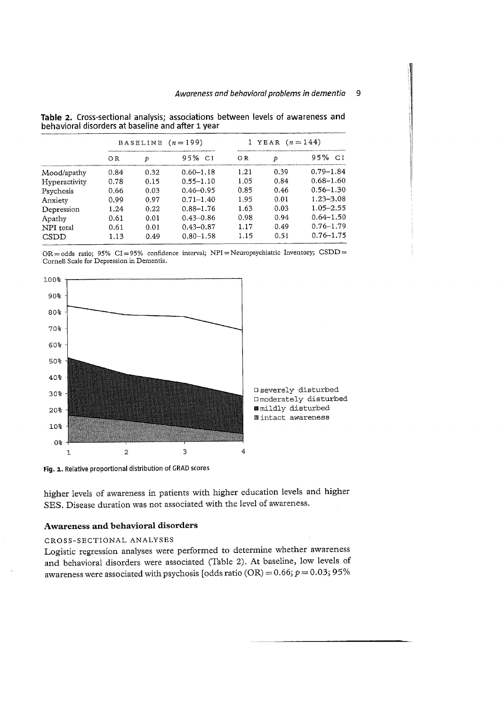#### Awareness and behavioral problems in dementia  $\overline{9}$

Table 2. Cross-sectional analysis; associations between levels of awareness and behavioral disorders at baseline and after 1 year

|               |      | BASELINE $(n=199)$ |               | 1 YEAR $(n = 144)$ |      |               |  |
|---------------|------|--------------------|---------------|--------------------|------|---------------|--|
|               | OR.  | D                  | 95% CI        | O R                | р    | 95% CI        |  |
| Mood/apathy   | 0.84 | 0.32               | $0.60 - 1.18$ | 1.21               | 0.39 | $0.79 - 1.84$ |  |
| Hyperactivity | 0.78 | 0.15               | $0.55 - 1.10$ | 1.05               | 0.84 | $0.68 - 1.60$ |  |
| Psychosis     | 0.66 | 0.03               | $0.46 - 0.95$ | 0.85               | 0.46 | $0.56 - 1.30$ |  |
| Anxiety       | 0.99 | 0.97               | $0.71 - 1.40$ | 1.95               | 0.01 | $1.23 - 3.08$ |  |
| Depression    | 1.24 | 0.22               | $0.88 - 1.76$ | 1.63               | 0.03 | $1.05 - 2.55$ |  |
| Apathy        | 0.61 | 0.01               | $0.43 - 0.86$ | 0.98               | 0.94 | $0.64 - 1.50$ |  |
| NPI total     | 0.61 | 0.01               | $0.43 - 0.87$ | 1.17               | 0.49 | $0.76 - 1.79$ |  |
| CSDD          | 1.13 | 0.49               | $0.80 - 1.58$ | 1.15               | 0.51 | $0.76 - 1.75$ |  |

OR = odds ratio; 95% CI = 95% confidence interval; NPI = Neuropsychiatric Inventory; CSDD = Cornell Scale for Depression in Dementia.



Fig. 1. Relative proportional distribution of GRAD scores

higher levels of awareness in patients with higher education levels and higher SES. Disease duration was not associated with the level of awareness.

### Awareness and behavioral disorders

### CROSS-SECTIONAL ANALYSES

Logistic regression analyses were performed to determine whether awareness and behavioral disorders were associated (Table 2). At baseline, low levels of awareness were associated with psychosis [odds ratio (OR) =  $0.66$ ;  $p = 0.03$ ; 95%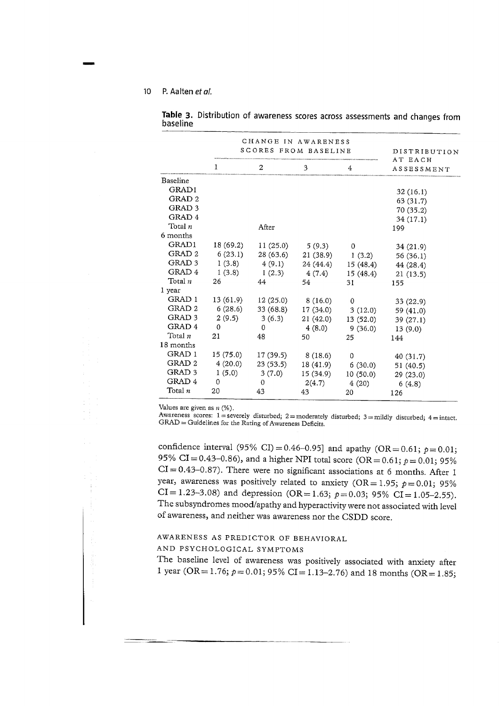|          |  |  | Table 3. Distribution of awareness scores across assessments and changes from |  |  |
|----------|--|--|-------------------------------------------------------------------------------|--|--|
| baseline |  |  |                                                                               |  |  |

|                   | CHANGE IN AWARENESS<br><b>SCORES FROM BASELINE</b> |          |                         |             |                   |  |  |  |  |
|-------------------|----------------------------------------------------|----------|-------------------------|-------------|-------------------|--|--|--|--|
|                   |                                                    |          | DISTRIBUTION<br>AT EACH |             |                   |  |  |  |  |
|                   |                                                    | 2        | 3                       |             | <b>ASSESSMENT</b> |  |  |  |  |
| Baseline          |                                                    |          |                         |             |                   |  |  |  |  |
| GRAD1             |                                                    |          |                         |             | 32(16.1)          |  |  |  |  |
| GRAD <sub>2</sub> |                                                    |          |                         |             | 63 (31.7)         |  |  |  |  |
| GRAD <sub>3</sub> |                                                    |          |                         |             | 70(35.2)          |  |  |  |  |
| GRAD 4            |                                                    |          |                         |             | 34 (17.1)         |  |  |  |  |
| Total $n$         |                                                    | After    |                         |             | 199               |  |  |  |  |
| 6 months          |                                                    |          |                         |             |                   |  |  |  |  |
| GRAD1             | 18(69.2)                                           | 11(25.0) | 5(9.3)                  | $\mathbf 0$ | 34(21.9)          |  |  |  |  |
| GRAD <sub>2</sub> | 6(23.1)                                            | 28(63.6) | 21(38.9)                | 1(3.2)      | 56 (36.1)         |  |  |  |  |
| GRAD <sub>3</sub> | 1(3.8)                                             | 4(9.1)   | 24 (44.4)               | 15(48.4)    | 44 (28.4)         |  |  |  |  |
| GRAD 4            | 1(3.8)                                             | 1(2.3)   | 4(7.4)                  | 15(48.4)    | 21(13.5)          |  |  |  |  |
| Total n           | 26                                                 | 44       | 54                      | 31          | 155               |  |  |  |  |
| 1 year            |                                                    |          |                         |             |                   |  |  |  |  |
| GRAD 1            | 13 (61.9)                                          | 12(25.0) | 8(16.0)                 | $\Omega$    | 33 (22.9)         |  |  |  |  |
| GRAD <sub>2</sub> | 6(28.6)                                            | 33(68.8) | 17 (34.0)               | 3(12.0)     | 59 (41.0)         |  |  |  |  |
| GRAD <sub>3</sub> | 2(9.5)                                             | 3(6.3)   | 21(42.0)                | 13(52.0)    | 39(27.1)          |  |  |  |  |
| GRAD <sub>4</sub> | $\Omega$                                           | 0        | 4(8.0)                  | 9(36.0)     | 13(9.0)           |  |  |  |  |
| Total $n$         | 21                                                 | 48       | 50                      | 25          | 144               |  |  |  |  |
| 18 months         |                                                    |          |                         |             |                   |  |  |  |  |
| GRAD 1            | 15(75.0)                                           | 17(39.5) | 8(18.6)                 | $\Omega$    | 40 (31.7)         |  |  |  |  |
| GRAD <sub>2</sub> | 4(20.0)                                            | 23(53.5) | 18 (41.9)               | 6(30.0)     | 51 (40.5)         |  |  |  |  |
| GRAD <sub>3</sub> | 1(5.0)                                             | 3(7.0)   | 15 (34.9)               | 10(50.0)    | 29(23.0)          |  |  |  |  |
| GRAD 4            | 0                                                  | $\Omega$ | 2(4.7)                  | 4(20)       | 6(4.8)            |  |  |  |  |
| Total $n$         | 20                                                 | 43       | 43                      | 20          | 126               |  |  |  |  |

Values are given as  $n$  (%).

Awareness scores:  $1 =$  severely disturbed;  $2 =$  moderately disturbed;  $3 =$  mildly disturbed;  $4 =$  intact. GRAD = Guidelines for the Rating of Awareness Deficits.

confidence interval (95% CI) = 0.46–0.95] and apathy (OR = 0.61;  $p = 0.01$ ; 95% CI = 0.43-0.86), and a higher NPI total score (OR = 0.61;  $p = 0.01$ ; 95%  $CI = 0.43-0.87$ ). There were no significant associations at 6 months. After 1 year, awareness was positively related to anxiety (OR = 1.95;  $p = 0.01$ ; 95% CI = 1.23-3.08) and depression (OR = 1.63;  $p = 0.03$ ; 95% CI = 1.05-2.55). The subsyndromes mood/apathy and hyperactivity were not associated with level of awareness, and neither was awareness nor the CSDD score.

## AWARENESS AS PREDICTOR OF BEHAVIORAL

### AND PSYCHOLOGICAL SYMPTOMS

The baseline level of awareness was positively associated with anxiety after 1 year (OR = 1.76;  $p = 0.01$ ; 95% CI = 1.13-2.76) and 18 months (OR = 1.85;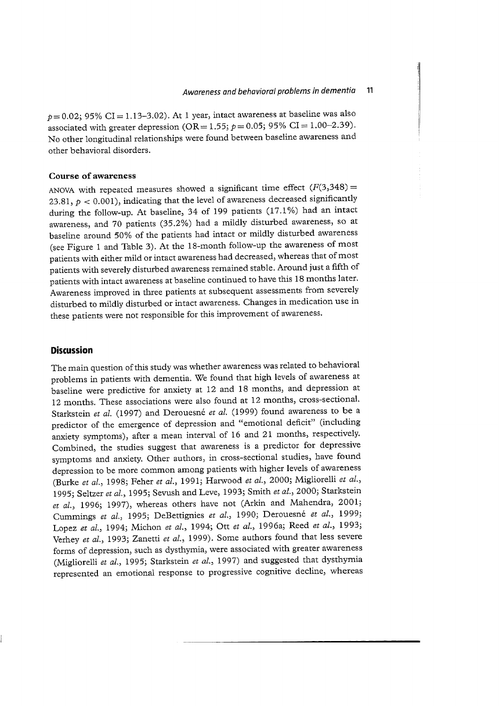$p=0.02$ ; 95% CI = 1.13-3.02). At 1 year, intact awareness at baseline was also associated with greater depression (OR = 1.55;  $p = 0.05$ ; 95% CI = 1.00-2.39). No other longitudinal relationships were found between baseline awareness and other behavioral disorders.

### **Course of awareness**

ANOVA with repeated measures showed a significant time effect  $(F(3,348) =$ 23.81,  $p < 0.001$ ), indicating that the level of awareness decreased significantly during the follow-up. At baseline, 34 of 199 patients (17.1%) had an intact awareness, and 70 patients (35.2%) had a mildly disturbed awareness, so at baseline around 50% of the patients had intact or mildly disturbed awareness (see Figure 1 and Table 3). At the 18-month follow-up the awareness of most patients with either mild or intact awareness had decreased, whereas that of most patients with severely disturbed awareness remained stable. Around just a fifth of patients with intact awareness at baseline continued to have this 18 months later. Awareness improved in three patients at subsequent assessments from severely disturbed to mildly disturbed or intact awareness. Changes in medication use in these patients were not responsible for this improvement of awareness.

### **Discussion**

The main question of this study was whether awareness was related to behavioral problems in patients with dementia. We found that high levels of awareness at baseline were predictive for anxiety at 12 and 18 months, and depression at 12 months. These associations were also found at 12 months, cross-sectional. Starkstein et al. (1997) and Derouesné et al. (1999) found awareness to be a predictor of the emergence of depression and "emotional deficit" (including anxiety symptoms), after a mean interval of 16 and 21 months, respectively. Combined, the studies suggest that awareness is a predictor for depressive symptoms and anxiety. Other authors, in cross-sectional studies, have found depression to be more common among patients with higher levels of awareness (Burke et al., 1998; Feher et al., 1991; Harwood et al., 2000; Migliorelli et al., 1995; Seltzer et al., 1995; Sevush and Leve, 1993; Smith et al., 2000; Starkstein et al., 1996; 1997), whereas others have not (Arkin and Mahendra, 2001; Cummings et al., 1995; DeBettignies et al., 1990; Derouesné et al., 1999; Lopez et al., 1994; Michon et al., 1994; Ott et al., 1996a; Reed et al., 1993; Verhey et al., 1993; Zanetti et al., 1999). Some authors found that less severe forms of depression, such as dysthymia, were associated with greater awareness (Migliorelli et al., 1995; Starkstein et al., 1997) and suggested that dysthymia represented an emotional response to progressive cognitive decline, whereas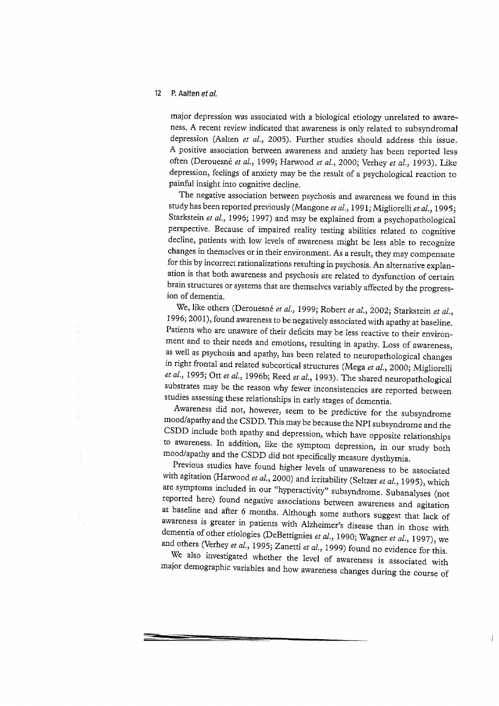major depression was associated with a biological etiology unrelated to awareness. A recent review indicated that awareness is only related to subsyndromal depression (Aalten et al., 2005). Further studies should address this issue. A positive association between awareness and anxiety has been reported less often (Derouesné et al., 1999; Harwood et al., 2000; Verhey et al., 1993). Like depression, feelings of anxiety may be the result of a psychological reaction to painful insight into cognitive decline.

The negative association between psychosis and awareness we found in this study has been reported previously (Mangone et al., 1991; Migliorelli et al., 1995; Starkstein et al., 1996; 1997) and may be explained from a psychopathological perspective. Because of impaired reality testing abilities related to cognitive decline, patients with low levels of awareness might be less able to recognize changes in themselves or in their environment. As a result, they may compensate for this by incorrect rationalizations resulting in psychosis. An alternative explanation is that both awareness and psychosis are related to dysfunction of certain brain structures or systems that are themselves variably affected by the progression of dementia.

We, like others (Derouesné et al., 1999; Robert et al., 2002; Starkstein et al., 1996; 2001), found awareness to be negatively associated with apathy at baseline. Patients who are unaware of their deficits may be less reactive to their environment and to their needs and emotions, resulting in apathy. Loss of awareness, as well as psychosis and apathy, has been related to neuropathological changes in right frontal and related subcortical structures (Mega et al., 2000; Migliorelli et al., 1995; Ott et al., 1996b; Reed et al., 1993). The shared neuropathological substrates may be the reason why fewer inconsistencies are reported between studies assessing these relationships in early stages of dementia.

Awareness did not, however, seem to be predictive for the subsyndrome mood/apathy and the CSDD. This may be because the NPI subsyndrome and the CSDD include both apathy and depression, which have opposite relationships to awareness. In addition, like the symptom depression, in our study both mood/apathy and the CSDD did not specifically measure dysthymia.

Previous studies have found higher levels of unawareness to be associated with agitation (Harwood et al., 2000) and irritability (Seltzer et al., 1995), which are symptoms included in our "hyperactivity" subsyndrome. Subanalyses (not reported here) found negative associations between awareness and agitation at baseline and after 6 months. Although some authors suggest that lack of awareness is greater in patients with Alzheimer's disease than in those with dementia of other etiologies (DeBettignies et al., 1990; Wagner et al., 1997), we and others (Verhey et al., 1995; Zanetti et al., 1999) found no evidence for this.

We also investigated whether the level of awareness is associated with major demographic variables and how awareness changes during the course of

 $\frac{1}{d}$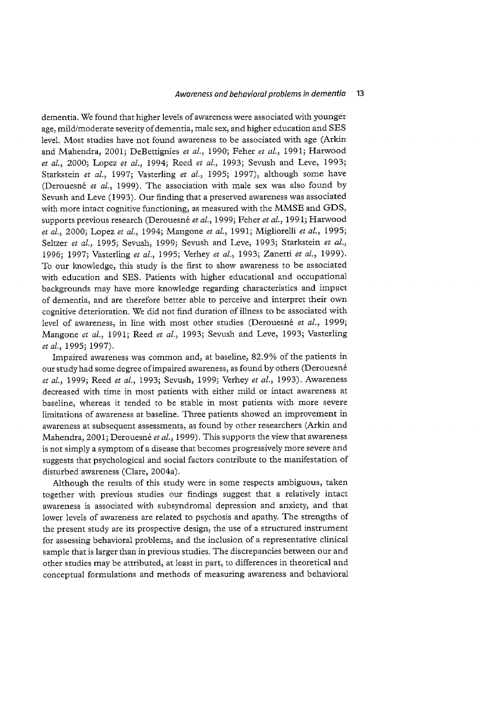dementia. We found that higher levels of awareness were associated with younger age, mild/moderate severity of dementia, male sex, and higher education and SES level. Most studies have not found awareness to be associated with age (Arkin and Mahendra, 2001; DeBettignies et al., 1990; Feher et al., 1991; Harwood et al., 2000; Lopez et al., 1994; Reed et al., 1993; Sevush and Leve, 1993; Starkstein et al., 1997; Vasterling et al., 1995; 1997), although some have (Derouesné et al., 1999). The association with male sex was also found by Sevush and Leve (1993). Our finding that a preserved awareness was associated with more intact cognitive functioning, as measured with the MMSE and GDS, supports previous research (Derouesné et al., 1999; Feher et al., 1991; Harwood et al., 2000; Lopez et al., 1994; Mangone et al., 1991; Migliorelli et al., 1995; Seltzer et al., 1995; Sevush, 1999; Sevush and Leve, 1993; Starkstein et al., 1996; 1997; Vasterling et al., 1995; Verhey et al., 1993; Zanetti et al., 1999). To our knowledge, this study is the first to show awareness to be associated with education and SES. Patients with higher educational and occupational backgrounds may have more knowledge regarding characteristics and impact of dementia, and are therefore better able to perceive and interpret their own cognitive deterioration. We did not find duration of illness to be associated with level of awareness, in line with most other studies (Derouesné et al., 1999; Mangone et al., 1991; Reed et al., 1993; Sevush and Leve, 1993; Vasterling et al., 1995; 1997).

Impaired awareness was common and, at baseline, 82.9% of the patients in our study had some degree of impaired awareness, as found by others (Derouesné et al., 1999; Reed et al., 1993; Sevush, 1999; Verhey et al., 1993). Awareness decreased with time in most patients with either mild or intact awareness at baseline, whereas it tended to be stable in most patients with more severe limitations of awareness at baseline. Three patients showed an improvement in awareness at subsequent assessments, as found by other researchers (Arkin and Mahendra, 2001; Derouesné et al., 1999). This supports the view that awareness is not simply a symptom of a disease that becomes progressively more severe and suggests that psychological and social factors contribute to the manifestation of disturbed awareness (Clare, 2004a).

Although the results of this study were in some respects ambiguous, taken together with previous studies our findings suggest that a relatively intact awareness is associated with subsyndromal depression and anxiety, and that lower levels of awareness are related to psychosis and apathy. The strengths of the present study are its prospective design, the use of a structured instrument for assessing behavioral problems, and the inclusion of a representative clinical sample that is larger than in previous studies. The discrepancies between our and other studies may be attributed, at least in part, to differences in theoretical and conceptual formulations and methods of measuring awareness and behavioral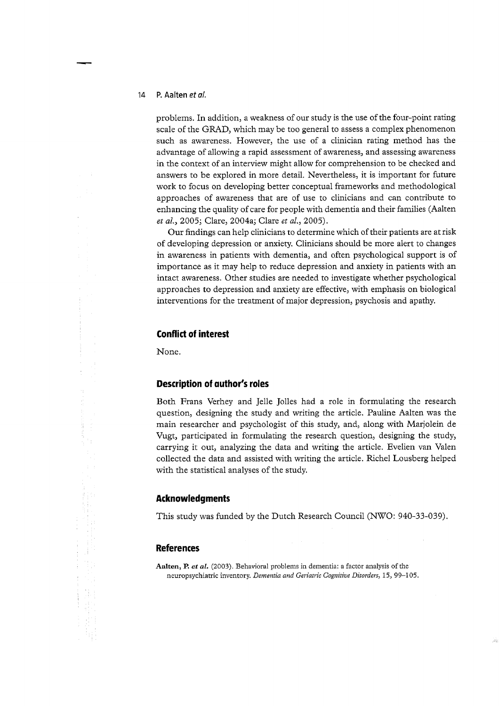problems. In addition, a weakness of our study is the use of the four-point rating scale of the GRAD, which may be too general to assess a complex phenomenon such as awareness. However, the use of a clinician rating method has the advantage of allowing a rapid assessment of awareness, and assessing awareness in the context of an interview might allow for comprehension to be checked and answers to be explored in more detail. Nevertheless, it is important for future work to focus on developing better conceptual frameworks and methodological approaches of awareness that are of use to clinicians and can contribute to enhancing the quality of care for people with dementia and their families (Aalten et al., 2005; Clare, 2004a; Clare et al., 2005).

Our findings can help clinicians to determine which of their patients are at risk of developing depression or anxiety. Clinicians should be more alert to changes in awareness in patients with dementia, and often psychological support is of importance as it may help to reduce depression and anxiety in patients with an intact awareness. Other studies are needed to investigate whether psychological approaches to depression and anxiety are effective, with emphasis on biological interventions for the treatment of major depression, psychosis and apathy.

### **Conflict of interest**

None.

### **Description of author's roles**

Both Frans Verhey and Jelle Jolles had a role in formulating the research question, designing the study and writing the article. Pauline Aalten was the main researcher and psychologist of this study, and, along with Marjolein de Vugt, participated in formulating the research question, designing the study, carrying it out, analyzing the data and writing the article. Evelien van Valen collected the data and assisted with writing the article. Richel Lousberg helped with the statistical analyses of the study.

### **Acknowledgments**

This study was funded by the Dutch Research Council (NWO: 940-33-039).

### **References**

Aalten, P. et al. (2003). Behavioral problems in dementia: a factor analysis of the neuropsychiatric inventory. Dementia and Geriatric Cognitive Disorders, 15, 99-105.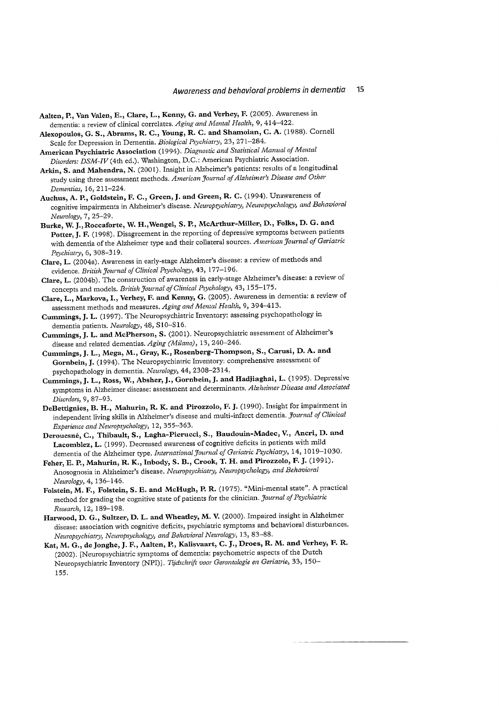- Aalten, P., Van Valen, E., Clare, L., Kenny, G. and Verhey, F. (2005). Awareness in dementia: a review of clinical correlates. Aging and Mental Health, 9, 414-422.
- Alexopoulos, G. S., Abrams, R. C., Young, R. C. and Shamoian, C. A. (1988). Cornell Scale for Depression in Dementia. Biological Psychiatry, 23, 271-284.
- American Psychiatric Association (1994). Diagnostic and Statistical Manual of Mental Disorders: DSM-IV (4th ed.). Washington, D.C.: American Psychiatric Association.
- Arkin, S. and Mahendra, N. (2001). Insight in Alzheimer's patients: results of a longitudinal study using three assessment methods. American Journal of Alzheimer's Disease and Other Dementias, 16, 211-224.
- Auchus, A. P., Goldstein, F. C., Green, J. and Green, R. C. (1994). Unawareness of cognitive impairments in Alzheimer's disease. Neuropsychiatry, Neuropsychology, and Behavioral Neurology, 7, 25-29.
- Burke, W. J., Roccaforte, W. H., Wengel, S. P., McArthur-Miller, D., Folks, D. G. and Potter, J. F. (1998). Disagreement in the reporting of depressive symptoms between patients with dementia of the Alzheimer type and their collateral sources. American Journal of Geriatric Psychiatry, 6, 308-319.
- Clare, L. (2004a). Awareness in early-stage Alzheimer's disease: a review of methods and evidence. British Journal of Clinical Psychology, 43, 177-196.
- Clare, L. (2004b). The construction of awareness in early-stage Alzheimer's disease: a review of concepts and models. British Journal of Clinical Psychology, 43, 155-175.
- Clare, L., Markova, I., Verhey, F. and Kenny, G. (2005). Awareness in dementia: a review of assessment methods and measures. Aging and Mental Health, 9, 394-413.
- Cummings, J. L. (1997). The Neuropsychiatric Inventory: assessing psychopathology in dementia patients. Neurology, 48, S10-S16.
- Cummings, J. L. and McPherson, S. (2001). Neuropsychiatric assessment of Alzheimer's disease and related dementias. Aging (Milano), 13, 240-246.
- Cummings, J. L., Mega, M., Gray, K., Rosenberg-Thompson, S., Carusi, D. A. and Gornbein, J. (1994). The Neuropsychiatric Inventory: comprehensive assessment of psychopathology in dementia. Neurology, 44, 2308-2314.
- Cummings, J. L., Ross, W., Absher, J., Gornbein, J. and Hadjiaghai, L. (1995). Depressive symptoms in Alzheimer disease: assessment and determinants. Alzheimer Disease and Associated Disorders, 9, 87-93.
- DeBettignies, B. H., Mahurin, R. K. and Pirozzolo, F. J. (1990). Insight for impairment in independent living skills in Alzheimer's disease and multi-infarct dementia. *Journal of Clinical* Experience and Neuropsychology, 12, 355-363.
- Derouesné, C., Thibault, S., Lagha-Pierucci, S., Baudouin-Madec, V., Ancri, D. and Lacomblez, L. (1999). Decreased awareness of cognitive deficits in patients with mild dementia of the Alzheimer type. International Journal of Geriatric Psychiatry, 14, 1019-1030.
- Feher, E. P., Mahurin, R. K., Inbody, S. B., Crook, T. H. and Pirozzolo, F. J. (1991). Anosognosia in Alzheimer's disease. Neuropsychiatry, Neuropsychology, and Behavioral Neurology, 4, 136-146.
- Folstein, M. F., Folstein, S. E. and McHugh, P. R. (1975). "Mini-mental state". A practical method for grading the cognitive state of patients for the clinician. Journal of Psychiatric Research, 12, 189-198.
- Harwood, D. G., Sultzer, D. L. and Wheatley, M. V. (2000). Impaired insight in Alzheimer disease: association with cognitive deficits, psychiatric symptoms and behavioral disturbances. Neuropsychiatry, Neuropsychology, and Behavioral Neurology, 13, 83-88.
- Kat, M. G., de Jonghe, J. F., Aalten, P., Kalisvaart, C. J., Droes, R. M. and Verhey, F. R. (2002). [Neuropsychiatric symptoms of dementia: psychometric aspects of the Dutch Neuropsychiatric Inventory (NPI)]. Tijdschrift voor Gerontologie en Geriatrie, 33, 150-155.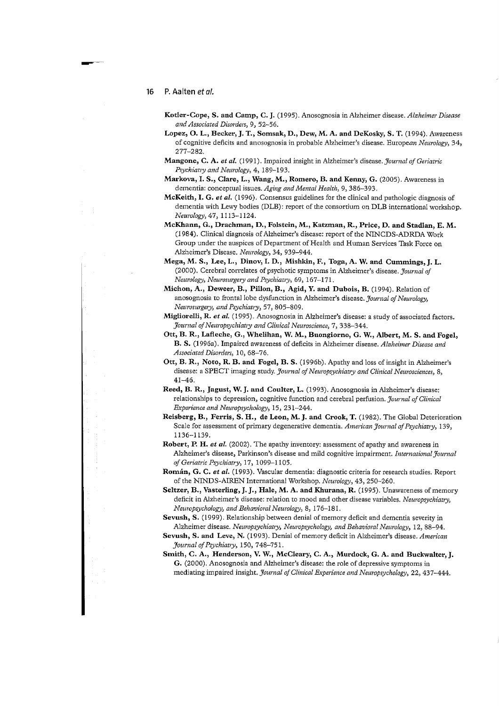- Kotler-Cope, S. and Camp, C. J. (1995). Anosognosia in Alzheimer disease. Alzheimer Disease and Associated Disorders, 9, 52-56.
- Lopez, O. L., Becker, J. T., Somsak, D., Dew, M. A. and DeKosky, S. T. (1994). Awareness of cognitive deficits and anosognosia in probable Alzheimer's disease. European Neurology, 34, 277-282.
- Mangone, C. A. et al. (1991). Impaired insight in Alzheimer's disease. *Journal of Geriatric* Psychiatry and Neurology, 4, 189-193.
- Markova, I. S., Clare, L., Wang, M., Romero, B. and Kenny, G. (2005). Awareness in dementia: conceptual issues. Aging and Mental Health, 9, 386-393.
- McKeith, I. G. et al. (1996). Consensus guidelines for the clinical and pathologic diagnosis of dementia with Lewy bodies (DLB): report of the consortium on DLB international workshop. Neurology, 47, 1113-1124.
- McKhann, G., Drachman, D., Folstein, M., Katzman, R., Price, D. and Stadlan, E. M. (1984). Clinical diagnosis of Alzheimer's disease: report of the NINCDS-ADRDA Work Group under the auspices of Department of Health and Human Services Task Force on Alzheimer's Disease. Neurology, 34, 939-944.
- Mega, M. S., Lee, L., Dinov, I. D., Mishkin, F., Toga, A. W. and Cummings, J. L. (2000). Cerebral correlates of psychotic symptoms in Alzheimer's disease. *Journal of* Neurology, Neurosurgery and Psychiatry, 69, 167-171.
- Michon, A., Deweer, B., Pillon, B., Agid, Y. and Dubois, B. (1994). Relation of anosognosia to frontal lobe dysfunction in Alzheimer's disease. *Journal of Neurology*, Neurosurgery, and Psychiatry, 57, 805-809.
- Migliorelli, R. et al. (1995). Anosognosia in Alzheimer's disease: a study of associated factors. Journal of Neuropsychiatry and Clinical Neuroscience, 7, 338-344.
- Ott, B. R., Lafleche, G., Whelihan, W. M., Buongiorno, G. W., Albert, M. S. and Fogel, B. S. (1996a). Impaired awareness of deficits in Alzheimer disease. Alzheimer Disease and Associated Disorders, 10, 68-76.
- Ott, B. R., Noto, R. B. and Fogel, B. S. (1996b). Apathy and loss of insight in Alzheimer's disease: a SPECT imaging study. Journal of Neuropsychiatry and Clinical Neurosciences, 8,  $41 - 46$
- Reed, B. R., Jagust, W. J. and Coulter, L. (1993). Anosognosia in Alzheimer's disease: relationships to depression, cognitive function and cerebral perfusion. Journal of Clinical Experience and Neuropsychology, 15, 231-244.
- Reisberg, B., Ferris, S. H., de Leon, M. J. and Crook, T. (1982). The Global Deterioration Scale for assessment of primary degenerative dementia. American Journal of Psychiatry, 139, 1136-1139.
- Robert, P. H. et al. (2002). The apathy inventory: assessment of apathy and awareness in Alzheimer's disease, Parkinson's disease and mild cognitive impairment. International Journal of Geriatric Psychiatry, 17, 1099-1105.
- Román, G. C. et al. (1993). Vascular dementia: diagnostic criteria for research studies. Report of the NINDS-AIREN International Workshop. Neurology, 43, 250-260.
- Seltzer, B., Vasterling, J. J., Hale, M. A. and Khurana, R. (1995). Unawareness of memory deficit in Alzheimer's disease: relation to mood and other disease variables. Neuropsychiatry, Neuropsychology, and Behavioral Neurology, 8, 176-181.
- Sevush, S. (1999). Relationship between denial of memory deficit and dementia severity in Alzheimer disease. Neuropsychiatry, Neuropsychology, and Behavioral Neurology, 12, 88-94.
- Sevush, S. and Leve, N. (1993). Denial of memory deficit in Alzheimer's disease. American Journal of Psychiatry, 150, 748-751.
- Smith, C. A., Henderson, V. W., McCleary, C. A., Murdock, G. A. and Buckwalter, J. G. (2000). Anosognosia and Alzheimer's disease: the role of depressive symptoms in mediating impaired insight. *Journal of Clinical Experience and Neuropsychology*, 22, 437-444.